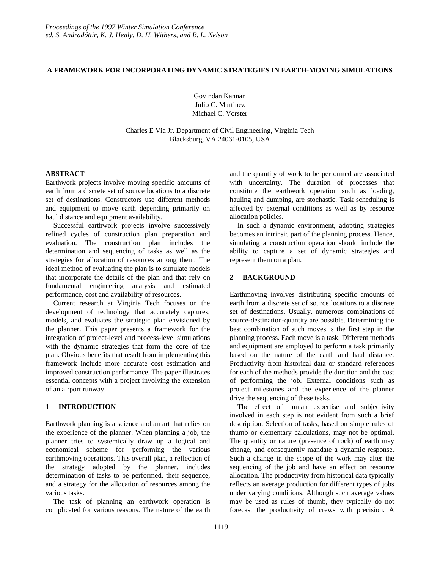#### **A FRAMEWORK FOR INCORPORATING DYNAMIC STRATEGIES IN EARTH-MOVING SIMULATIONS**

Govindan Kannan Julio C. Martinez Michael C. Vorster

Charles E Via Jr. Department of Civil Engineering, Virginia Tech Blacksburg, VA 24061-0105, USA

#### **ABSTRACT**

Earthwork projects involve moving specific amounts of earth from a discrete set of source locations to a discrete set of destinations. Constructors use different methods and equipment to move earth depending primarily on haul distance and equipment availability.

Successful earthwork projects involve successively refined cycles of construction plan preparation and evaluation. The construction plan includes the determination and sequencing of tasks as well as the strategies for allocation of resources among them. The ideal method of evaluating the plan is to simulate models that incorporate the details of the plan and that rely on fundamental engineering analysis and estimated performance, cost and availability of resources.

Current research at Virginia Tech focuses on the development of technology that accurately captures, models, and evaluates the strategic plan envisioned by the planner. This paper presents a framework for the integration of project-level and process-level simulations with the dynamic strategies that form the core of the plan. Obvious benefits that result from implementing this framework include more accurate cost estimation and improved construction performance. The paper illustrates essential concepts with a project involving the extension of an airport runway.

#### **1 INTRODUCTION**

Earthwork planning is a science and an art that relies on the experience of the planner. When planning a job, the planner tries to systemically draw up a logical and economical scheme for performing the various earthmoving operations. This overall plan, a reflection of the strategy adopted by the planner, includes determination of tasks to be performed, their sequence, and a strategy for the allocation of resources among the various tasks.

The task of planning an earthwork operation is complicated for various reasons. The nature of the earth and the quantity of work to be performed are associated with uncertainty. The duration of processes that constitute the earthwork operation such as loading, hauling and dumping, are stochastic. Task scheduling is affected by external conditions as well as by resource allocation policies.

In such a dynamic environment, adopting strategies becomes an intrinsic part of the planning process. Hence, simulating a construction operation should include the ability to capture a set of dynamic strategies and represent them on a plan.

## **2 BACKGROUND**

Earthmoving involves distributing specific amounts of earth from a discrete set of source locations to a discrete set of destinations. Usually, numerous combinations of source-destination-quantity are possible. Determining the best combination of such moves is the first step in the planning process. Each move is a task. Different methods and equipment are employed to perform a task primarily based on the nature of the earth and haul distance. Productivity from historical data or standard references for each of the methods provide the duration and the cost of performing the job. External conditions such as project milestones and the experience of the planner drive the sequencing of these tasks.

The effect of human expertise and subjectivity involved in each step is not evident from such a brief description. Selection of tasks, based on simple rules of thumb or elementary calculations, may not be optimal. The quantity or nature (presence of rock) of earth may change, and consequently mandate a dynamic response. Such a change in the scope of the work may alter the sequencing of the job and have an effect on resource allocation. The productivity from historical data typically reflects an average production for different types of jobs under varying conditions. Although such average values may be used as rules of thumb, they typically do not forecast the productivity of crews with precision. A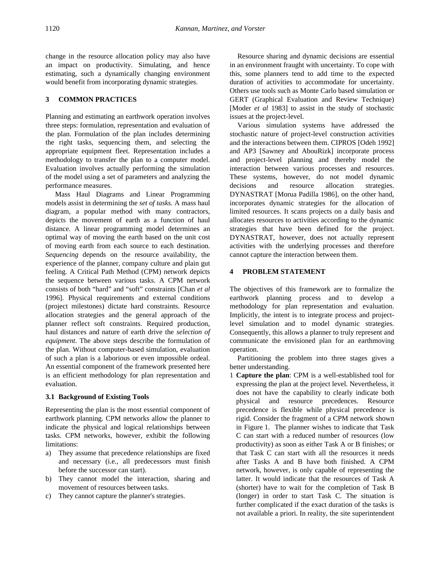change in the resource allocation policy may also have an impact on productivity. Simulating, and hence estimating, such a dynamically changing environment would benefit from incorporating dynamic strategies.

## **3 COMMON PRACTICES**

Planning and estimating an earthwork operation involves three steps: formulation, representation and evaluation of the plan. Formulation of the plan includes determining the right tasks, sequencing them, and selecting the appropriate equipment fleet. Representation includes a methodology to transfer the plan to a computer model. Evaluation involves actually performing the simulation of the model using a set of parameters and analyzing the performance measures.

Mass Haul Diagrams and Linear Programming models assist in determining the *set of tasks.* A mass haul diagram, a popular method with many contractors, depicts the movement of earth as a function of haul distance. A linear programming model determines an optimal way of moving the earth based on the unit cost of moving earth from each source to each destination. *Sequencing* depends on the resource availability, the experience of the planner, company culture and plain gut feeling. A Critical Path Method (CPM) network depicts the sequence between various tasks. A CPM network consists of both "hard" and "soft" constraints [Chan *et al* 1996]. Physical requirements and external conditions (project milestones) dictate hard constraints. Resource allocation strategies and the general approach of the planner reflect soft constraints. Required production, haul distances and nature of earth drive the *selection of equipment*. The above steps describe the formulation of the plan. Without computer-based simulation, evaluation of such a plan is a laborious or even impossible ordeal. An essential component of the framework presented here is an efficient methodology for plan representation and evaluation.

## **3.1 Background of Existing Tools**

Representing the plan is the most essential component of earthwork planning. CPM networks allow the planner to indicate the physical and logical relationships between tasks. CPM networks, however, exhibit the following limitations:

- a) They assume that precedence relationships are fixed and necessary (i.e., all predecessors must finish before the successor can start).
- b) They cannot model the interaction, sharing and movement of resources between tasks.
- c) They cannot capture the planner's strategies.

Resource sharing and dynamic decisions are essential in an environment fraught with uncertainty. To cope with this, some planners tend to add time to the expected duration of activities to accommodate for uncertainty. Others use tools such as Monte Carlo based simulation or GERT (Graphical Evaluation and Review Technique) [Moder *et al* 1983] to assist in the study of stochastic issues at the project-level.

Various simulation systems have addressed the stochastic nature of project-level construction activities and the interactions between them. CIPROS [Odeh 1992] and AP3 [Sawney and AbouRizk] incorporate process and project-level planning and thereby model the interaction between various processes and resources. These systems, however, do not model dynamic decisions and resource allocation strategies. DYNASTRAT [Morua Padilla 1986], on the other hand, incorporates dynamic strategies for the allocation of limited resources. It scans projects on a daily basis and allocates resources to activities according to the dynamic strategies that have been defined for the project. DYNASTRAT, however, does not actually represent activities with the underlying processes and therefore cannot capture the interaction between them.

## **4 PROBLEM STATEMENT**

The objectives of this framework are to formalize the earthwork planning process and to develop a methodology for plan representation and evaluation. Implicitly, the intent is to integrate process and projectlevel simulation and to model dynamic strategies. Consequently, this allows a planner to truly represent and communicate the envisioned plan for an earthmoving operation.

Partitioning the problem into three stages gives a better understanding.

1 **Capture the plan**: CPM is a well-established tool for expressing the plan at the project level. Nevertheless, it does not have the capability to clearly indicate both physical and resource precedences. Resource precedence is flexible while physical precedence is rigid. Consider the fragment of a CPM network shown in Figure 1. The planner wishes to indicate that Task C can start with a reduced number of resources (low productivity) as soon as either Task A or B finishes; or that Task C can start with all the resources it needs after Tasks A and B have both finished. A CPM network, however, is only capable of representing the latter. It would indicate that the resources of Task A (shorter) have to wait for the completion of Task B (longer) in order to start Task C. The situation is further complicated if the exact duration of the tasks is not available a priori. In reality, the site superintendent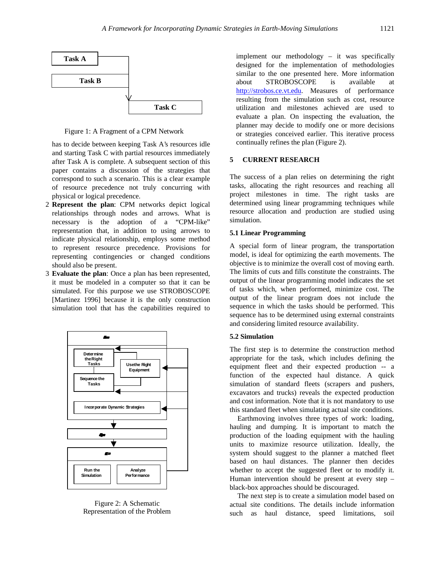

Figure 1: A Fragment of a CPM Network

has to decide between keeping Task A's resources idle and starting Task C with partial resources immediately after Task A is complete. A subsequent section of this paper contains a discussion of the strategies that correspond to such a scenario. This is a clear example of resource precedence not truly concurring with physical or logical precedence.

- 2 **Represent the plan**: CPM networks depict logical relationships through nodes and arrows. What is necessary is the adoption of a "CPM-like" representation that, in addition to using arrows to indicate physical relationship, employs some method to represent resource precedence. Provisions for representing contingencies or changed conditions should also be present.
- 3 **Evaluate the plan**: Once a plan has been represented, it must be modeled in a computer so that it can be simulated. For this purpose we use STROBOSCOPE [Martinez 1996] because it is the only construction simulation tool that has the capabilities required to



Figure 2: A Schematic Representation of the Problem

implement our methodology – it was specifically designed for the implementation of methodologies similar to the one presented here. More information about STROBOSCOPE is available at <http://strobos.ce.vt.edu.>Measures of performance resulting from the simulation such as cost, resource utilization and milestones achieved are used to evaluate a plan. On inspecting the evaluation, the planner may decide to modify one or more decisions or strategies conceived earlier. This iterative process continually refines the plan (Figure 2).

#### **5 CURRENT RESEARCH**

The success of a plan relies on determining the right tasks, allocating the right resources and reaching all project milestones in time. The right tasks are determined using linear programming techniques while resource allocation and production are studied using simulation.

#### **5.1 Linear Programming**

A special form of linear program, the transportation model, is ideal for optimizing the earth movements. The objective is to minimize the overall cost of moving earth. The limits of cuts and fills constitute the constraints. The output of the linear programming model indicates the set of tasks which, when performed, minimize cost. The output of the linear program does not include the sequence in which the tasks should be performed. This sequence has to be determined using external constraints and considering limited resource availability.

#### **5.2 Simulation**

The first step is to determine the construction method appropriate for the task, which includes defining the equipment fleet and their expected production -- a function of the expected haul distance. A quick simulation of standard fleets (scrapers and pushers, excavators and trucks) reveals the expected production and cost information. Note that it is not mandatory to use this standard fleet when simulating actual site conditions.

Earthmoving involves three types of work: loading, hauling and dumping. It is important to match the production of the loading equipment with the hauling units to maximize resource utilization. Ideally, the system should suggest to the planner a matched fleet based on haul distances. The planner then decides whether to accept the suggested fleet or to modify it. Human intervention should be present at every step – black-box approaches should be discouraged.

The next step is to create a simulation model based on actual site conditions. The details include information such as haul distance, speed limitations, soil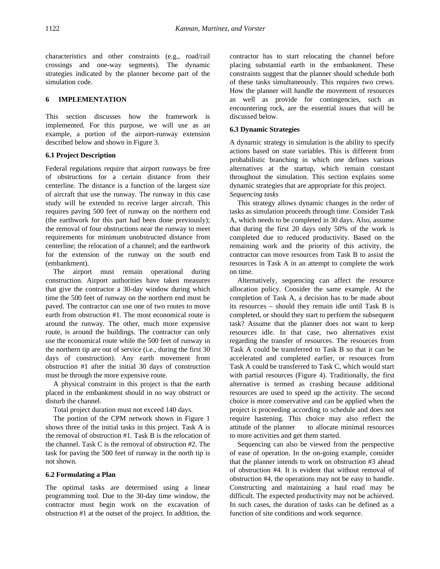characteristics and other constraints (e.g., road/rail crossings and one-way segments). The dynamic strategies indicated by the planner become part of the simulation code.

## **6 IMPLEMENTATION**

This section discusses how the framework is implemented. For this purpose, we will use as an example, a portion of the airport-runway extension described below and shown in Figure 3.

## **6.1 Project Description**

Federal regulations require that airport runways be free of obstructions for a certain distance from their centerline. The distance is a function of the largest size of aircraft that use the runway. The runway in this case study will be extended to receive larger aircraft. This requires paving 500 feet of runway on the northern end (the earthwork for this part had been done previously); the removal of four obstructions near the runway to meet requirements for minimum unobstructed distance from centerline; the relocation of a channel; and the earthwork for the extension of the runway on the south end (embankment).

The airport must remain operational during construction. Airport authorities have taken measures that give the contractor a 30-day window during which time the 500 feet of runway on the northern end must be paved. The contractor can use one of two routes to move earth from obstruction #1. The most economical route is around the runway. The other, much more expensive route, is around the buildings. The contractor can only use the economical route while the 500 feet of runway in the northern tip are out of service (i.e., during the first 30 days of construction). Any earth movement from obstruction #1 after the initial 30 days of construction must be through the more expensive route.

A physical constraint in this project is that the earth placed in the embankment should in no way obstruct or disturb the channel.

Total project duration must not exceed 140 days.

The portion of the CPM network shown in Figure 1 shows three of the initial tasks in this project. Task A is the removal of obstruction #1. Task B is the relocation of the channel. Task C is the removal of obstruction #2. The task for paving the 500 feet of runway in the north tip is not shown.

## **6.2 Formulating a Plan**

The optimal tasks are determined using a linear programming tool. Due to the 30-day time window, the contractor must begin work on the excavation of obstruction #1 at the outset of the project. In addition, the contractor has to start relocating the channel before placing substantial earth in the embankment. These constraints suggest that the planner should schedule both of these tasks simultaneously. This requires two crews. How the planner will handle the movement of resources as well as provide for contingencies, such as encountering rock, are the essential issues that will be discussed below.

#### **6.3 Dynamic Strategies**

A dynamic strategy in simulation is the ability to specify actions based on state variables. This is different from probabilistic branching in which one defines various alternatives at the startup, which remain constant throughout the simulation. This section explains some dynamic strategies that are appropriate for this project. *Sequencing tasks*

This strategy allows dynamic changes in the order of tasks as simulation proceeds through time. Consider Task A, which needs to be completed in 30 days. Also, assume that during the first 20 days only 50% of the work is completed due to reduced productivity. Based on the remaining work and the priority of this activity, the contractor can move resources from Task B to assist the resources in Task A in an attempt to complete the work on time.

Alternatively, sequencing can affect the resource allocation policy. Consider the same example. At the completion of Task A, a decision has to be made about its resources – should they remain idle until Task B is completed, or should they start to perform the subsequent task? Assume that the planner does not want to keep resources idle. In that case, two alternatives exist regarding the transfer of resources. The resources from Task A could be transferred to Task B so that it can be accelerated and completed earlier, or resources from Task A could be transferred to Task C, which would start with partial resources (Figure 4). Traditionally, the first alternative is termed as crashing because additional resources are used to speed up the activity. The second choice is more conservative and can be applied when the project is proceeding according to schedule and does not require hastening. This choice may also reflect the attitude of the planner - to allocate minimal resources to more activities and get them started.

Sequencing can also be viewed from the perspective of ease of operation. In the on-going example, consider that the planner intends to work on obstruction #3 ahead of obstruction #4. It is evident that without removal of obstruction #4, the operations may not be easy to handle. Constructing and maintaining a haul road may be difficult. The expected productivity may not be achieved. In such cases, the duration of tasks can be defined as a function of site conditions and work sequence.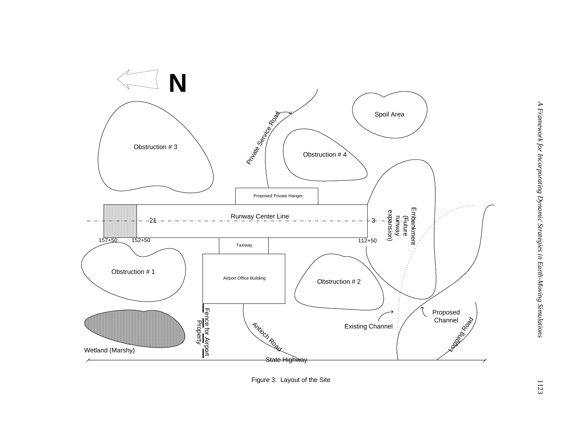

Figure 3: Layout of the Site

1123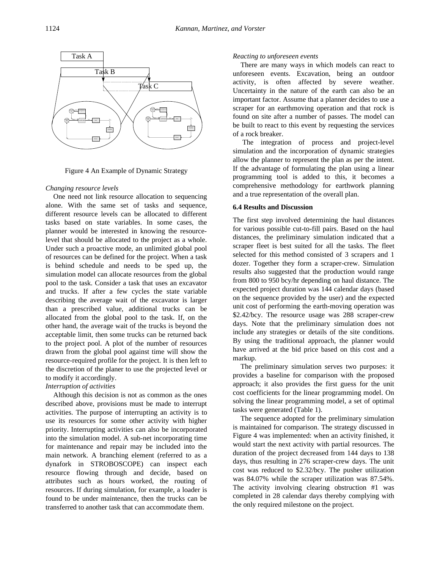

Figure 4 An Example of Dynamic Strategy

#### *Changing resource levels*

One need not link resource allocation to sequencing alone. With the same set of tasks and sequence, different resource levels can be allocated to different tasks based on state variables. In some cases, the planner would be interested in knowing the resourcelevel that should be allocated to the project as a whole. Under such a proactive mode, an unlimited global pool of resources can be defined for the project. When a task is behind schedule and needs to be sped up, the simulation model can allocate resources from the global pool to the task. Consider a task that uses an excavator and trucks. If after a few cycles the state variable describing the average wait of the excavator is larger than a prescribed value, additional trucks can be allocated from the global pool to the task. If, on the other hand, the average wait of the trucks is beyond the acceptable limit, then some trucks can be returned back to the project pool. A plot of the number of resources drawn from the global pool against time will show the resource-required profile for the project. It is then left to the discretion of the planer to use the projected level or to modify it accordingly.

#### *Interruption of activities*

Although this decision is not as common as the ones described above, provisions must be made to interrupt activities. The purpose of interrupting an activity is to use its resources for some other activity with higher priority. Interrupting activities can also be incorporated into the simulation model. A sub-net incorporating time for maintenance and repair may be included into the main network. A branching element (referred to as a dynafork in STROBOSCOPE) can inspect each resource flowing through and decide, based on attributes such as hours worked, the routing of resources. If during simulation, for example, a loader is found to be under maintenance, then the trucks can be transferred to another task that can accommodate them.

#### *Reacting to unforeseen events*

There are many ways in which models can react to unforeseen events. Excavation, being an outdoor activity, is often affected by severe weather. Uncertainty in the nature of the earth can also be an important factor. Assume that a planner decides to use a scraper for an earthmoving operation and that rock is found on site after a number of passes. The model can be built to react to this event by requesting the services of a rock breaker.

The integration of process and project-level simulation and the incorporation of dynamic strategies allow the planner to represent the plan as per the intent. If the advantage of formulating the plan using a linear programming tool is added to this, it becomes a comprehensive methodology for earthwork planning and a true representation of the overall plan.

#### **6.4 Results and Discussion**

The first step involved determining the haul distances for various possible cut-to-fill pairs. Based on the haul distances, the preliminary simulation indicated that a scraper fleet is best suited for all the tasks. The fleet selected for this method consisted of 3 scrapers and 1 dozer. Together they form a scraper-crew. Simulation results also suggested that the production would range from 800 to 950 bcy/hr depending on haul distance. The expected project duration was 144 calendar days (based on the sequence provided by the user) and the expected unit cost of performing the earth-moving operation was \$2.42/bcy. The resource usage was 288 scraper-crew days. Note that the preliminary simulation does not include any strategies or details of the site conditions. By using the traditional approach, the planner would have arrived at the bid price based on this cost and a markup.

The preliminary simulation serves two purposes: it provides a baseline for comparison with the proposed approach; it also provides the first guess for the unit cost coefficients for the linear programming model. On solving the linear programming model, a set of optimal tasks were generated (Table 1).

The sequence adopted for the preliminary simulation is maintained for comparison. The strategy discussed in Figure 4 was implemented: when an activity finished, it would start the next activity with partial resources. The duration of the project decreased from 144 days to 138 days, thus resulting in 276 scraper-crew days. The unit cost was reduced to \$2.32/bcy. The pusher utilization was 84.07% while the scraper utilization was 87.54%. The activity involving clearing obstruction #1 was completed in 28 calendar days thereby complying with the only required milestone on the project.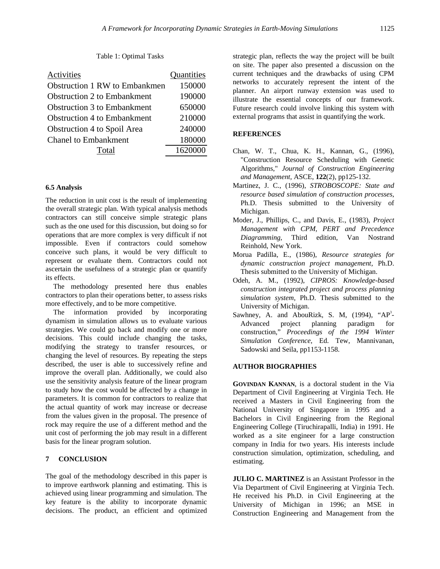#### Table 1: Optimal Tasks

| Activities                           | Quantities |
|--------------------------------------|------------|
| <b>Obstruction 1 RW to Embankmen</b> | 150000     |
| <b>Obstruction 2 to Embankment</b>   | 190000     |
| <b>Obstruction 3 to Embankment</b>   | 650000     |
| <b>Obstruction 4 to Embankment</b>   | 210000     |
| Obstruction 4 to Spoil Area          | 240000     |
| <b>Chanel to Embankment</b>          | 180000     |
| Total                                | 1620000    |

#### **6.5 Analysis**

The reduction in unit cost is the result of implementing the overall strategic plan. With typical analysis methods contractors can still conceive simple strategic plans such as the one used for this discussion, but doing so for operations that are more complex is very difficult if not impossible. Even if contractors could somehow conceive such plans, it would be very difficult to represent or evaluate them. Contractors could not ascertain the usefulness of a strategic plan or quantify its effects.

The methodology presented here thus enables contractors to plan their operations better, to assess risks more effectively, and to be more competitive.

The information provided by incorporating dynamism in simulation allows us to evaluate various strategies. We could go back and modify one or more decisions. This could include changing the tasks, modifying the strategy to transfer resources, or changing the level of resources. By repeating the steps described, the user is able to successively refine and improve the overall plan. Additionally, we could also use the sensitivity analysis feature of the linear program to study how the cost would be affected by a change in parameters. It is common for contractors to realize that the actual quantity of work may increase or decrease from the values given in the proposal. The presence of rock may require the use of a different method and the unit cost of performing the job may result in a different basis for the linear program solution.

# **7 CONCLUSION**

The goal of the methodology described in this paper is to improve earthwork planning and estimating. This is achieved using linear programming and simulation. The key feature is the ability to incorporate dynamic decisions. The product, an efficient and optimized strategic plan, reflects the way the project will be built on site. The paper also presented a discussion on the current techniques and the drawbacks of using CPM networks to accurately represent the intent of the planner. An airport runway extension was used to illustrate the essential concepts of our framework. Future research could involve linking this system with external programs that assist in quantifying the work.

#### **REFERENCES**

- Chan, W. T., Chua, K. H., Kannan, G., (1996), "Construction Resource Scheduling with Genetic Algorithms," *Journal of Construction Engineering and Management,* ASCE, **122**(2), pp125-132.
- Martinez, J. C., (1996), *STROBOSCOPE: State and resource based simulation of construction processes*, Ph.D. Thesis submitted to the University of Michigan.
- Moder, J., Phillips, C., and Davis, E., (1983), *Project Management with CPM, PERT and Precedence Diagramming,* Third edition, Van Nostrand Reinhold, New York.
- Morua Padilla, E., (1986), *Resource strategies for dynamic construction project management*, Ph.D. Thesis submitted to the University of Michigan.
- Odeh, A. M., (1992), *CIPROS: Knowledge-based construction integrated project and process planning simulation system*, Ph.D. Thesis submitted to the University of Michigan.
- Sawhney, A. and AbouRizk, S. M,  $(1994)$ , "AP<sup>3</sup>-Advanced project planning paradigm for construction," *Proceedings of the 1994 Winter Simulation Conference*, Ed. Tew, Mannivanan, Sadowski and Seila, pp1153-1158.

## **AUTHOR BIOGRAPHIES**

**GOVINDAN KANNAN**, is a doctoral student in the Via Department of Civil Engineering at Virginia Tech. He received a Masters in Civil Engineering from the National University of Singapore in 1995 and a Bachelors in Civil Engineering from the Regional Engineering College (Tiruchirapalli, India) in 1991. He worked as a site engineer for a large construction company in India for two years. His interests include construction simulation, optimization, scheduling, and estimating.

**JULIO C. MARTINEZ** is an Assistant Professor in the Via Department of Civil Engineering at Virginia Tech. He received his Ph.D. in Civil Engineering at the University of Michigan in 1996; an MSE in Construction Engineering and Management from the